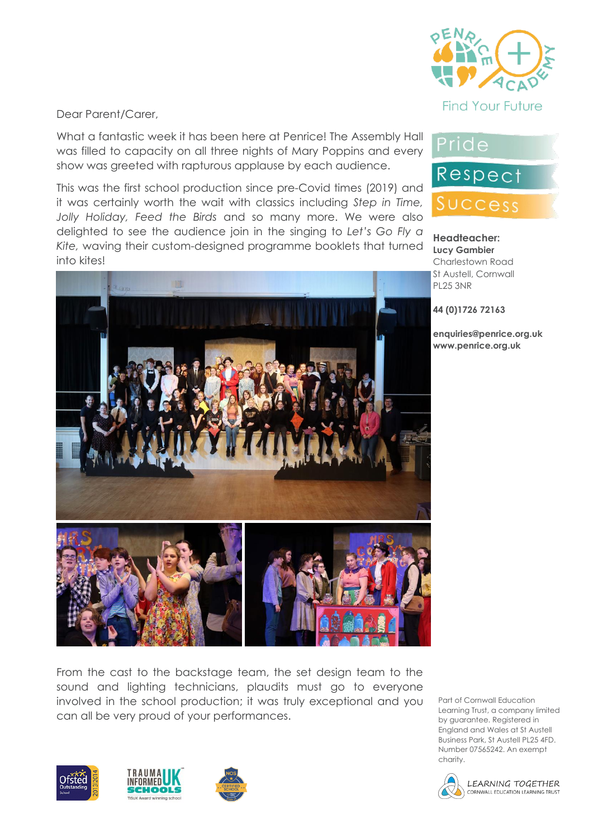

**Headteacher: Lucy Gambier** Charlestown Road

Pride

Respect

Success

Dear Parent/Carer,

What a fantastic week it has been here at Penrice! The Assembly Hall was filled to capacity on all three nights of Mary Poppins and every show was greeted with rapturous applause by each audience.

This was the first school production since pre-Covid times (2019) and it was certainly worth the wait with classics including *Step in Time, Jolly Holiday, Feed the Birds* and so many more. We were also delighted to see the audience join in the singing to *Let's Go Fly a Kite,* waving their custom-designed programme booklets that turned into kites!



From the cast to the backstage team, the set design team to the sound and lighting technicians, plaudits must go to everyone involved in the school production; it was truly exceptional and you can all be very proud of your performances.

Part of Cornwall Education Learning Trust, a company limited by guarantee. Registered in England and Wales at St Austell Business Park, St Austell PL25 4FD. Number 07565242. An exempt charity.









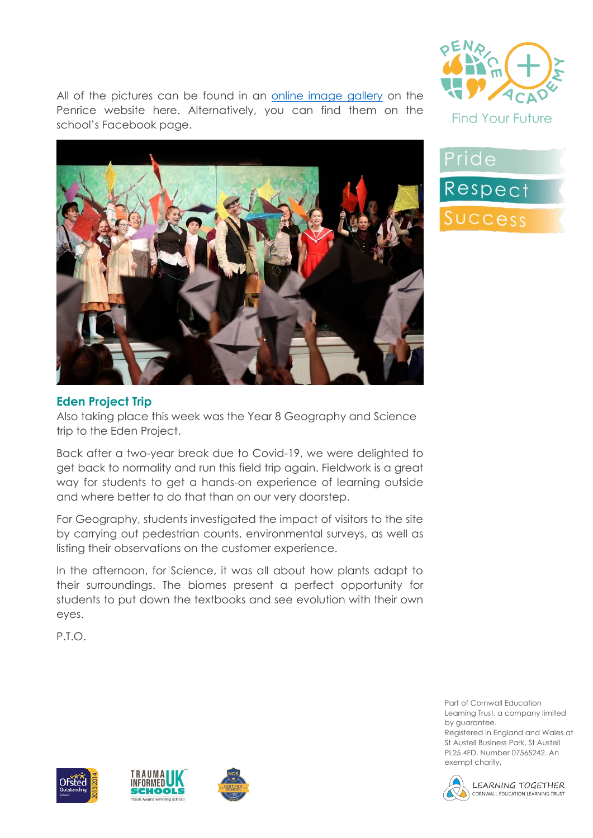All of the pictures can be found in an [online image gallery](https://www.penriceacademy.org/galleries/mary-poppins-school-production-2022/) on the Penrice website here. Alternatively, you can find them on the school's Facebook page.







### **Eden Project Trip**

Also taking place this week was the Year 8 Geography and Science trip to the Eden Project.

Back after a two-year break due to Covid-19, we were delighted to get back to normality and run this field trip again. Fieldwork is a great way for students to get a hands-on experience of learning outside and where better to do that than on our very doorstep.

For Geography, students investigated the impact of visitors to the site by carrying out pedestrian counts, environmental surveys, as well as listing their observations on the customer experience.

In the afternoon, for Science, it was all about how plants adapt to their surroundings. The biomes present a perfect opportunity for students to put down the textbooks and see evolution with their own eyes.

P.T.O.







Part of Cornwall Education Learning Trust, a company limited by guarantee.

Registered in England and Wales at St Austell Business Park, St Austell PL25 4FD. Number 07565242. An exempt charity.



LEARNING TOGETHER CORNWALL EDUCATION LEARNING TRUST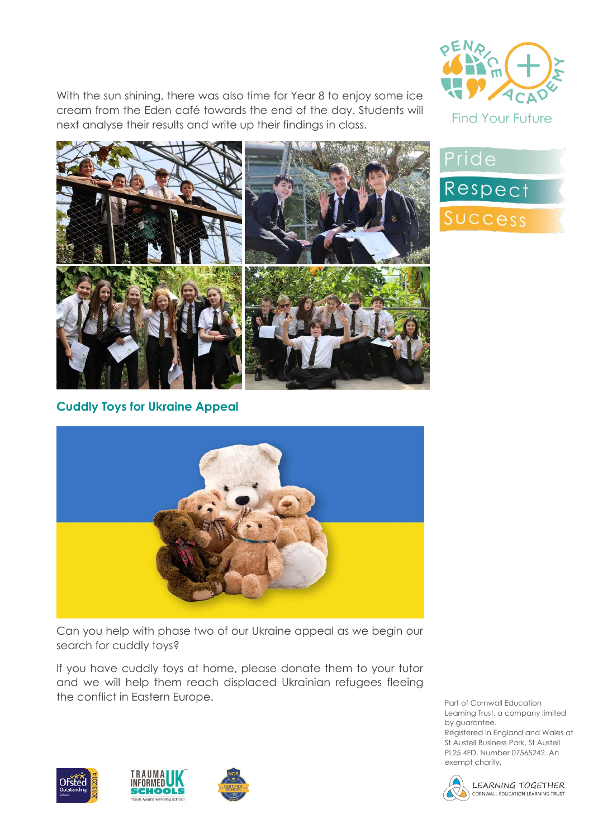With the sun shining, there was also time for Year 8 to enjoy some ice cream from the Eden café towards the end of the day. Students will next analyse their results and write up their findings in class.





Pride Respect Success

**Cuddly Toys for Ukraine Appeal**



Can you help with phase two of our Ukraine appeal as we begin our search for cuddly toys?

If you have cuddly toys at home, please donate them to your tutor and we will help them reach displaced Ukrainian refugees fleeing the conflict in Eastern Europe.

Part of Cornwall Education Learning Trust, a company limited by guarantee. Registered in England and Wales at St Austell Business Park, St Austell PL25 4FD. Number 07565242. An





LEARNING TOGETHER CORNWALL EDUCATION LEARNING TRUST

exempt charity.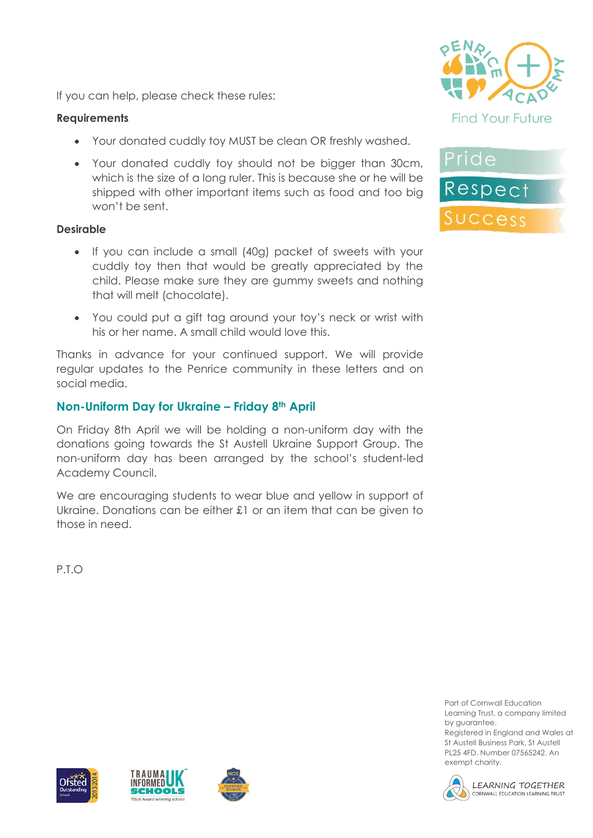If you can help, please check these rules:

### **Requirements**

- Your donated cuddly toy MUST be clean OR freshly washed.
- Your donated cuddly toy should not be bigger than 30cm, which is the size of a long ruler. This is because she or he will be shipped with other important items such as food and too big won't be sent.

### **Desirable**

- If you can include a small (40g) packet of sweets with your cuddly toy then that would be greatly appreciated by the child. Please make sure they are gummy sweets and nothing that will melt (chocolate).
- You could put a gift tag around your toy's neck or wrist with his or her name. A small child would love this.

Thanks in advance for your continued support. We will provide regular updates to the Penrice community in these letters and on social media.

# **Non-Uniform Day for Ukraine – Friday 8th April**

On Friday 8th April we will be holding a non-uniform day with the donations going towards the St Austell Ukraine Support Group. The non-uniform day has been arranged by the school's student-led Academy Council.

We are encouraging students to wear blue and yellow in support of Ukraine. Donations can be either £1 or an item that can be given to those in need.

P.T.O





Part of Cornwall Education Learning Trust, a company limited by guarantee.

Registered in England and Wales at St Austell Business Park, St Austell PL25 4FD. Number 07565242. An exempt charity.







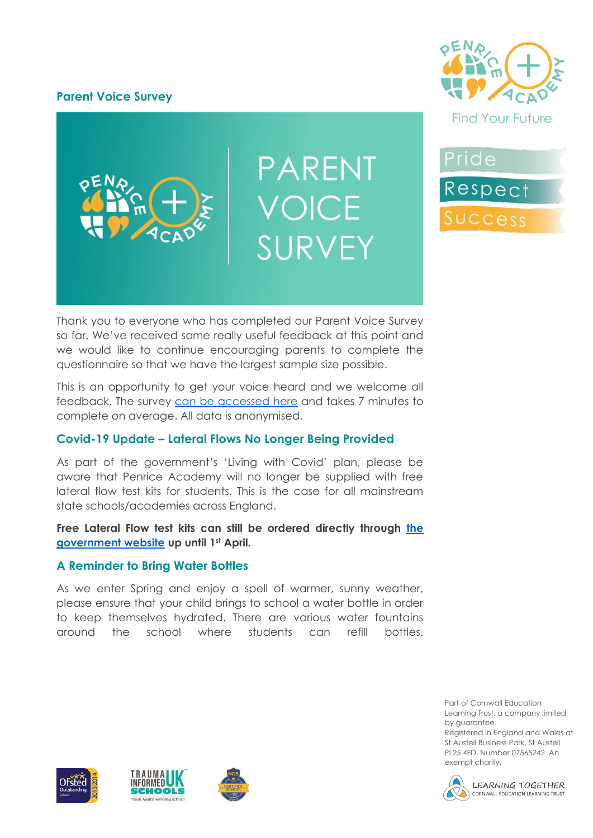# **Parent Voice Survey**



**PARENT VOICE SURVEY** 

Pride Respect Success

Thank you to everyone who has completed our Parent Voice Survey so far. We've received some really useful feedback at this point and we would like to continue encouraging parents to complete the questionnaire so that we have the largest sample size possible.

This is an opportunity to get your voice heard and we welcome all feedback. The survey [can be accessed here](https://forms.office.com/Pages/ResponsePage.aspx?id=hh7Px_d8LESmjGlMcvemP0EjmBDRoUNGjZyVRcmxZCtUMEs4M0ZZQVlMNjBPVkFMVU9SMVFRUkExVy4u) and takes 7 minutes to complete on average. All data is anonymised.

# **Covid-19 Update – Lateral Flows No Longer Being Provided**

As part of the government's 'Living with Covid' plan, please be aware that Penrice Academy will no longer be supplied with free lateral flow test kits for students. This is the case for all mainstream state schools/academies across England.

**Free Lateral Flow test kits can still be ordered directly through [the](https://www.gov.uk/order-coronavirus-rapid-lateral-flow-tests)  [government website](https://www.gov.uk/order-coronavirus-rapid-lateral-flow-tests) up until 1st April.**

# **A Reminder to Bring Water Bottles**

As we enter Spring and enjoy a spell of warmer, sunny weather, please ensure that your child brings to school a water bottle in order to keep themselves hydrated. There are various water fountains around the school where students can refill bottles.

> Part of Cornwall Education Learning Trust, a company limited by guarantee. Registered in England and Wales at

St Austell Business Park, St Austell PL25 4FD. Number 07565242. An exempt charity.







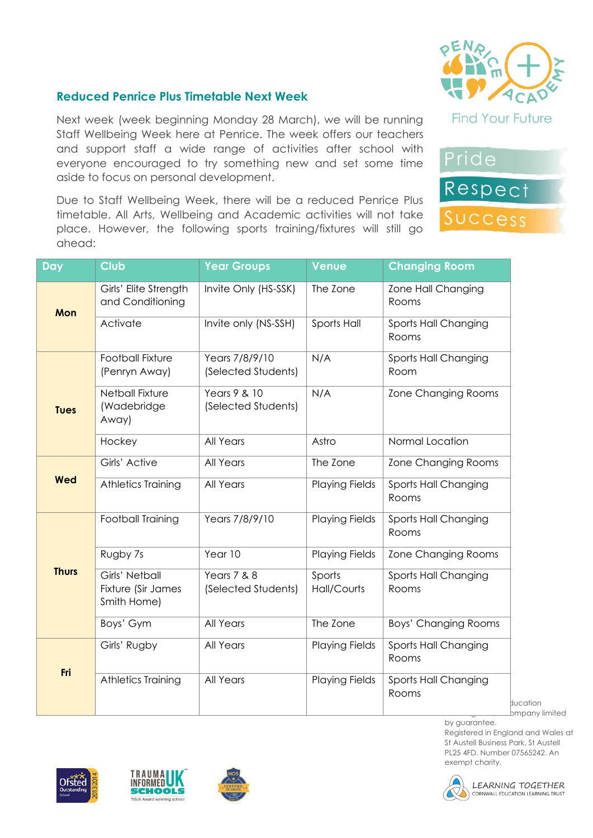

Pride

Respect

Success

# **Reduced Penrice Plus Timetable Next Week**

Next week (week beginning Monday 28 March), we will be running Staff Wellbeing Week here at Penrice. The week offers our teachers and support staff a wide range of activities after school with everyone encouraged to try something new and set some time aside to focus on personal development.

Due to Staff Wellbeing Week, there will be a reduced Penrice Plus timetable. All Arts, Wellbeing and Academic activities will not take place. However, the following sports training/fixtures will still go ahead:

| <b>Day</b>   | Club                                                | <b>Year Groups</b>                            | <b>Venue</b>          | <b>Changing Room</b>          |
|--------------|-----------------------------------------------------|-----------------------------------------------|-----------------------|-------------------------------|
| Mon          | Girls' Elite Strength<br>and Conditioning           | Invite Only (HS-SSK)                          | The Zone              | Zone Hall Changing<br>Rooms   |
|              | Activate                                            | Invite only (NS-SSH)                          | Sports Hall           | Sports Hall Changing<br>Rooms |
| <b>Tues</b>  | <b>Football Fixture</b><br>(Penryn Away)            | Years 7/8/9/10<br>(Selected Students)         | N/A                   | Sports Hall Changing<br>Room  |
|              | <b>Netball Fixture</b><br>(Wadebridge<br>Away)      | Years 9 & 10<br>(Selected Students)           | N/A                   | <b>Zone Changing Rooms</b>    |
|              | Hockey                                              | All Years                                     | Astro                 | Normal Location               |
| <b>Wed</b>   | Girls' Active                                       | All Years                                     | The Zone              | <b>Zone Changing Rooms</b>    |
|              | Athletics Training                                  | All Years                                     | <b>Playing Fields</b> | Sports Hall Changing<br>Rooms |
| <b>Thurs</b> | Football Training                                   | Years 7/8/9/10                                | <b>Playing Fields</b> | Sports Hall Changing<br>Rooms |
|              | Rugby 7s                                            | Year 10                                       | <b>Playing Fields</b> | Zone Changing Rooms           |
|              | Girls' Netball<br>Fixture (Sir James<br>Smith Home) | <b>Years 7 &amp; 8</b><br>(Selected Students) | Sports<br>Hall/Courts | Sports Hall Changing<br>Rooms |
|              | Boys' Gym                                           | All Years                                     | The Zone              | Boys' Changing Rooms          |
| Fri          | Girls' Rugby                                        | All Years                                     | <b>Playing Fields</b> | Sports Hall Changing<br>Rooms |
|              | Athletics Training                                  | All Years                                     | <b>Playing Fields</b> | Sports Hall Changing<br>Rooms |

Lompany limited

by guarantee. Registered in England and Wales at St Austell Business Park, St Austell PL25 4FD. Number 07565242. An exempt charity.







LEARNING TOGETHER CORNWALL EDUCATION LEARNING TRUST